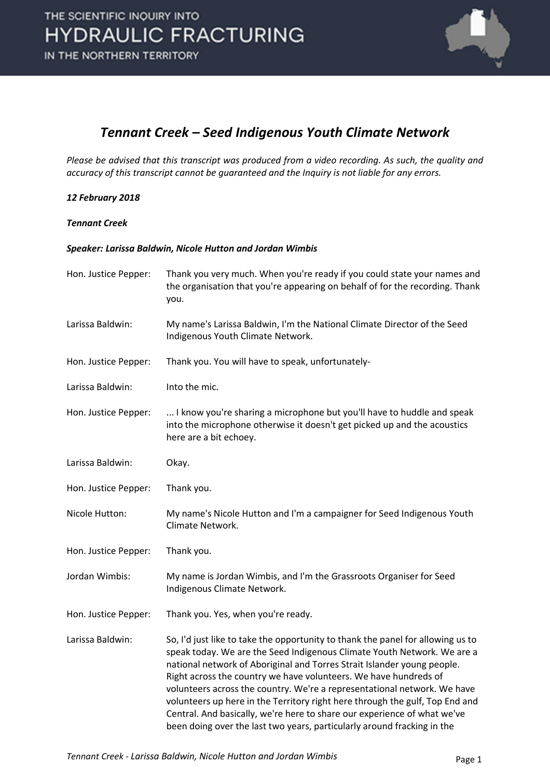

#### *Tennant Creek – Seed Indigenous Youth Climate Network*

*Please be advised that this transcript was produced from a video recording. As such, the quality and accuracy of this transcript cannot be guaranteed and the Inquiry is not liable for any errors.*

#### *12 February 2018*

#### *Tennant Creek*

#### *Speaker: Larissa Baldwin, Nicole Hutton and Jordan Wimbis*

| Hon. Justice Pepper: | Thank you very much. When you're ready if you could state your names and<br>the organisation that you're appearing on behalf of for the recording. Thank<br>you.                                                                                                                                                                                                                                                                                                                                                                                                                                                             |
|----------------------|------------------------------------------------------------------------------------------------------------------------------------------------------------------------------------------------------------------------------------------------------------------------------------------------------------------------------------------------------------------------------------------------------------------------------------------------------------------------------------------------------------------------------------------------------------------------------------------------------------------------------|
| Larissa Baldwin:     | My name's Larissa Baldwin, I'm the National Climate Director of the Seed<br>Indigenous Youth Climate Network.                                                                                                                                                                                                                                                                                                                                                                                                                                                                                                                |
| Hon. Justice Pepper: | Thank you. You will have to speak, unfortunately-                                                                                                                                                                                                                                                                                                                                                                                                                                                                                                                                                                            |
| Larissa Baldwin:     | Into the mic.                                                                                                                                                                                                                                                                                                                                                                                                                                                                                                                                                                                                                |
| Hon. Justice Pepper: | I know you're sharing a microphone but you'll have to huddle and speak<br>into the microphone otherwise it doesn't get picked up and the acoustics<br>here are a bit echoey.                                                                                                                                                                                                                                                                                                                                                                                                                                                 |
| Larissa Baldwin:     | Okay.                                                                                                                                                                                                                                                                                                                                                                                                                                                                                                                                                                                                                        |
| Hon. Justice Pepper: | Thank you.                                                                                                                                                                                                                                                                                                                                                                                                                                                                                                                                                                                                                   |
| Nicole Hutton:       | My name's Nicole Hutton and I'm a campaigner for Seed Indigenous Youth<br>Climate Network.                                                                                                                                                                                                                                                                                                                                                                                                                                                                                                                                   |
| Hon. Justice Pepper: | Thank you.                                                                                                                                                                                                                                                                                                                                                                                                                                                                                                                                                                                                                   |
| Jordan Wimbis:       | My name is Jordan Wimbis, and I'm the Grassroots Organiser for Seed<br>Indigenous Climate Network.                                                                                                                                                                                                                                                                                                                                                                                                                                                                                                                           |
| Hon. Justice Pepper: | Thank you. Yes, when you're ready.                                                                                                                                                                                                                                                                                                                                                                                                                                                                                                                                                                                           |
| Larissa Baldwin:     | So, I'd just like to take the opportunity to thank the panel for allowing us to<br>speak today. We are the Seed Indigenous Climate Youth Network. We are a<br>national network of Aboriginal and Torres Strait Islander young people.<br>Right across the country we have volunteers. We have hundreds of<br>volunteers across the country. We're a representational network. We have<br>volunteers up here in the Territory right here through the gulf, Top End and<br>Central. And basically, we're here to share our experience of what we've<br>been doing over the last two years, particularly around fracking in the |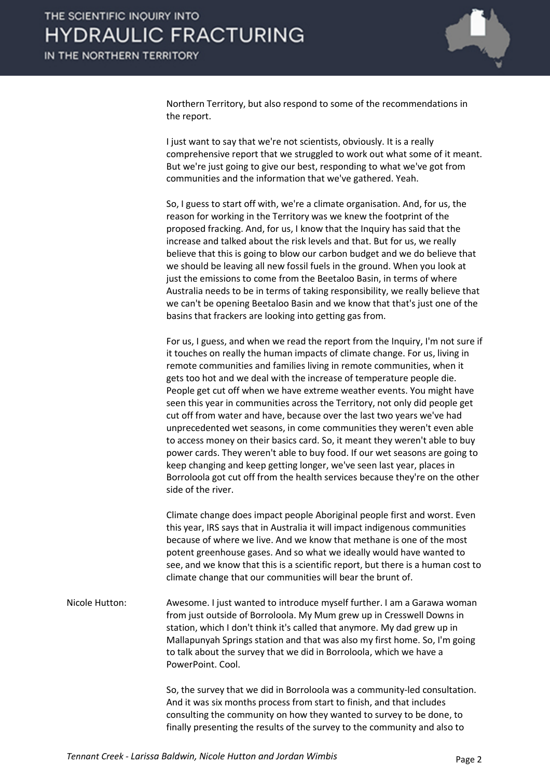

Northern Territory, but also respond to some of the recommendations in the report.

I just want to say that we're not scientists, obviously. It is a really comprehensive report that we struggled to work out what some of it meant. But we're just going to give our best, responding to what we've got from communities and the information that we've gathered. Yeah.

So, I guess to start off with, we're a climate organisation. And, for us, the reason for working in the Territory was we knew the footprint of the proposed fracking. And, for us, I know that the Inquiry has said that the increase and talked about the risk levels and that. But for us, we really believe that this is going to blow our carbon budget and we do believe that we should be leaving all new fossil fuels in the ground. When you look at just the emissions to come from the Beetaloo Basin, in terms of where Australia needs to be in terms of taking responsibility, we really believe that we can't be opening Beetaloo Basin and we know that that's just one of the basins that frackers are looking into getting gas from.

For us, I guess, and when we read the report from the Inquiry, I'm not sure if it touches on really the human impacts of climate change. For us, living in remote communities and families living in remote communities, when it gets too hot and we deal with the increase of temperature people die. People get cut off when we have extreme weather events. You might have seen this year in communities across the Territory, not only did people get cut off from water and have, because over the last two years we've had unprecedented wet seasons, in come communities they weren't even able to access money on their basics card. So, it meant they weren't able to buy power cards. They weren't able to buy food. If our wet seasons are going to keep changing and keep getting longer, we've seen last year, places in Borroloola got cut off from the health services because they're on the other side of the river.

Climate change does impact people Aboriginal people first and worst. Even this year, IRS says that in Australia it will impact indigenous communities because of where we live. And we know that methane is one of the most potent greenhouse gases. And so what we ideally would have wanted to see, and we know that this is a scientific report, but there is a human cost to climate change that our communities will bear the brunt of.

Nicole Hutton: Awesome. I just wanted to introduce myself further. I am a Garawa woman from just outside of Borroloola. My Mum grew up in Cresswell Downs in station, which I don't think it's called that anymore. My dad grew up in Mallapunyah Springs station and that was also my first home. So, I'm going to talk about the survey that we did in Borroloola, which we have a PowerPoint. Cool.

> So, the survey that we did in Borroloola was a community-led consultation. And it was six months process from start to finish, and that includes consulting the community on how they wanted to survey to be done, to finally presenting the results of the survey to the community and also to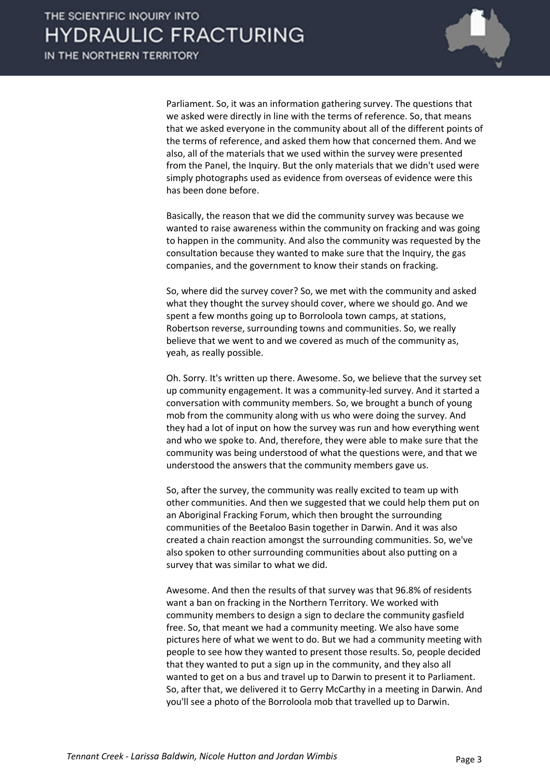

Parliament. So, it was an information gathering survey. The questions that we asked were directly in line with the terms of reference. So, that means that we asked everyone in the community about all of the different points of the terms of reference, and asked them how that concerned them. And we also, all of the materials that we used within the survey were presented from the Panel, the Inquiry. But the only materials that we didn't used were simply photographs used as evidence from overseas of evidence were this has been done before.

Basically, the reason that we did the community survey was because we wanted to raise awareness within the community on fracking and was going to happen in the community. And also the community was requested by the consultation because they wanted to make sure that the Inquiry, the gas companies, and the government to know their stands on fracking.

So, where did the survey cover? So, we met with the community and asked what they thought the survey should cover, where we should go. And we spent a few months going up to Borroloola town camps, at stations, Robertson reverse, surrounding towns and communities. So, we really believe that we went to and we covered as much of the community as, yeah, as really possible.

Oh. Sorry. It's written up there. Awesome. So, we believe that the survey set up community engagement. It was a community-led survey. And it started a conversation with community members. So, we brought a bunch of young mob from the community along with us who were doing the survey. And they had a lot of input on how the survey was run and how everything went and who we spoke to. And, therefore, they were able to make sure that the community was being understood of what the questions were, and that we understood the answers that the community members gave us.

So, after the survey, the community was really excited to team up with other communities. And then we suggested that we could help them put on an Aboriginal Fracking Forum, which then brought the surrounding communities of the Beetaloo Basin together in Darwin. And it was also created a chain reaction amongst the surrounding communities. So, we've also spoken to other surrounding communities about also putting on a survey that was similar to what we did.

Awesome. And then the results of that survey was that 96.8% of residents want a ban on fracking in the Northern Territory. We worked with community members to design a sign to declare the community gasfield free. So, that meant we had a community meeting. We also have some pictures here of what we went to do. But we had a community meeting with people to see how they wanted to present those results. So, people decided that they wanted to put a sign up in the community, and they also all wanted to get on a bus and travel up to Darwin to present it to Parliament. So, after that, we delivered it to Gerry McCarthy in a meeting in Darwin. And you'll see a photo of the Borroloola mob that travelled up to Darwin.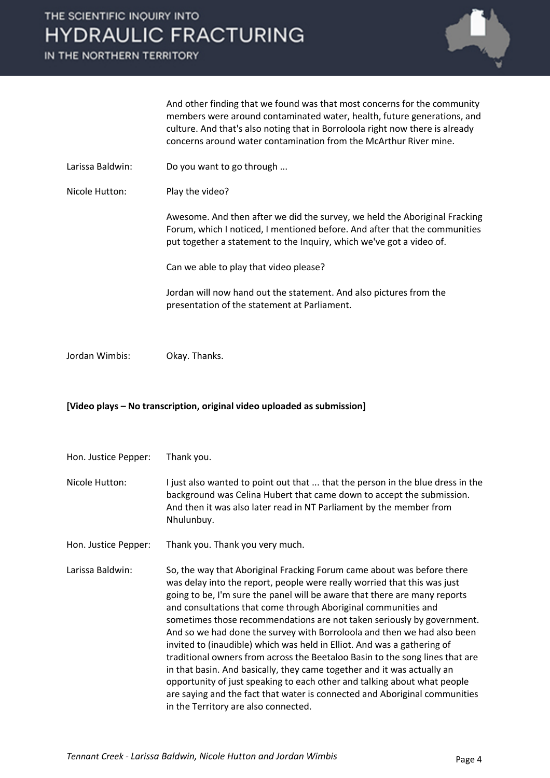IN THE NORTHERN TERRITORY



#### **[Video plays – No transcription, original video uploaded as submission]**

Hon. Justice Pepper: Thank you.

Nicole Hutton: I just also wanted to point out that ... that the person in the blue dress in the background was Celina Hubert that came down to accept the submission. And then it was also later read in NT Parliament by the member from Nhulunbuy.

Hon. Justice Pepper: Thank you. Thank you very much.

Larissa Baldwin: So, the way that Aboriginal Fracking Forum came about was before there was delay into the report, people were really worried that this was just going to be, I'm sure the panel will be aware that there are many reports and consultations that come through Aboriginal communities and sometimes those recommendations are not taken seriously by government. And so we had done the survey with Borroloola and then we had also been invited to (inaudible) which was held in Elliot. And was a gathering of traditional owners from across the Beetaloo Basin to the song lines that are in that basin. And basically, they came together and it was actually an opportunity of just speaking to each other and talking about what people are saying and the fact that water is connected and Aboriginal communities in the Territory are also connected.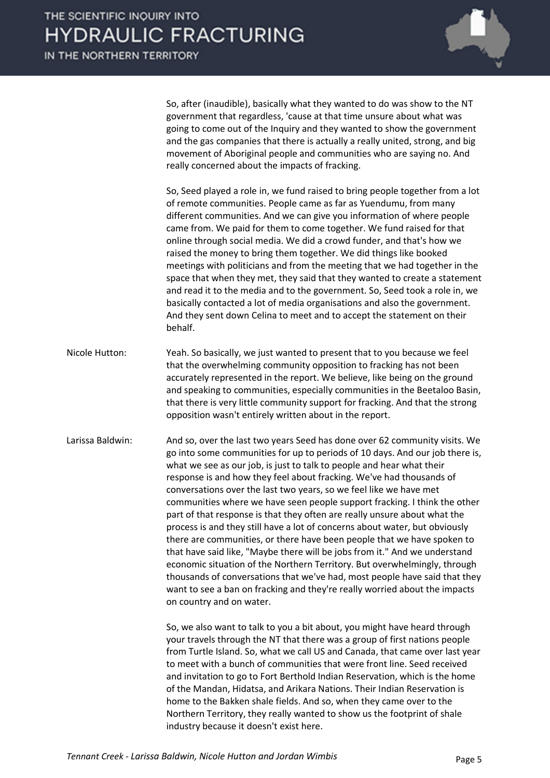

So, after (inaudible), basically what they wanted to do was show to the NT government that regardless, 'cause at that time unsure about what was going to come out of the Inquiry and they wanted to show the government and the gas companies that there is actually a really united, strong, and big movement of Aboriginal people and communities who are saying no. And really concerned about the impacts of fracking.

So, Seed played a role in, we fund raised to bring people together from a lot of remote communities. People came as far as Yuendumu, from many different communities. And we can give you information of where people came from. We paid for them to come together. We fund raised for that online through social media. We did a crowd funder, and that's how we raised the money to bring them together. We did things like booked meetings with politicians and from the meeting that we had together in the space that when they met, they said that they wanted to create a statement and read it to the media and to the government. So, Seed took a role in, we basically contacted a lot of media organisations and also the government. And they sent down Celina to meet and to accept the statement on their behalf.

- Nicole Hutton: Yeah. So basically, we just wanted to present that to you because we feel that the overwhelming community opposition to fracking has not been accurately represented in the report. We believe, like being on the ground and speaking to communities, especially communities in the Beetaloo Basin, that there is very little community support for fracking. And that the strong opposition wasn't entirely written about in the report.
- Larissa Baldwin: And so, over the last two years Seed has done over 62 community visits. We go into some communities for up to periods of 10 days. And our job there is, what we see as our job, is just to talk to people and hear what their response is and how they feel about fracking. We've had thousands of conversations over the last two years, so we feel like we have met communities where we have seen people support fracking. I think the other part of that response is that they often are really unsure about what the process is and they still have a lot of concerns about water, but obviously there are communities, or there have been people that we have spoken to that have said like, "Maybe there will be jobs from it." And we understand economic situation of the Northern Territory. But overwhelmingly, through thousands of conversations that we've had, most people have said that they want to see a ban on fracking and they're really worried about the impacts on country and on water.

So, we also want to talk to you a bit about, you might have heard through your travels through the NT that there was a group of first nations people from Turtle Island. So, what we call US and Canada, that came over last year to meet with a bunch of communities that were front line. Seed received and invitation to go to Fort Berthold Indian Reservation, which is the home of the Mandan, Hidatsa, and Arikara Nations. Their Indian Reservation is home to the Bakken shale fields. And so, when they came over to the Northern Territory, they really wanted to show us the footprint of shale industry because it doesn't exist here.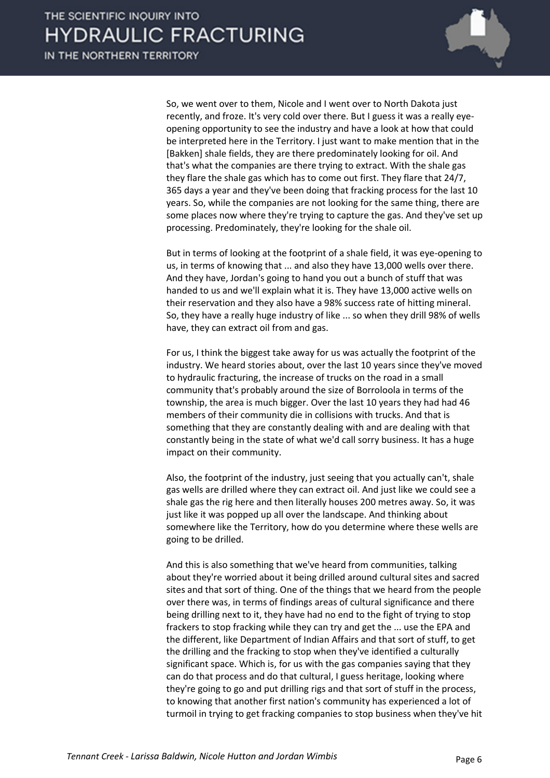

So, we went over to them, Nicole and I went over to North Dakota just recently, and froze. It's very cold over there. But I guess it was a really eyeopening opportunity to see the industry and have a look at how that could be interpreted here in the Territory. I just want to make mention that in the [Bakken] shale fields, they are there predominately looking for oil. And that's what the companies are there trying to extract. With the shale gas they flare the shale gas which has to come out first. They flare that 24/7, 365 days a year and they've been doing that fracking process for the last 10 years. So, while the companies are not looking for the same thing, there are some places now where they're trying to capture the gas. And they've set up processing. Predominately, they're looking for the shale oil.

But in terms of looking at the footprint of a shale field, it was eye-opening to us, in terms of knowing that ... and also they have 13,000 wells over there. And they have, Jordan's going to hand you out a bunch of stuff that was handed to us and we'll explain what it is. They have 13,000 active wells on their reservation and they also have a 98% success rate of hitting mineral. So, they have a really huge industry of like ... so when they drill 98% of wells have, they can extract oil from and gas.

For us, I think the biggest take away for us was actually the footprint of the industry. We heard stories about, over the last 10 years since they've moved to hydraulic fracturing, the increase of trucks on the road in a small community that's probably around the size of Borroloola in terms of the township, the area is much bigger. Over the last 10 years they had had 46 members of their community die in collisions with trucks. And that is something that they are constantly dealing with and are dealing with that constantly being in the state of what we'd call sorry business. It has a huge impact on their community.

Also, the footprint of the industry, just seeing that you actually can't, shale gas wells are drilled where they can extract oil. And just like we could see a shale gas the rig here and then literally houses 200 metres away. So, it was just like it was popped up all over the landscape. And thinking about somewhere like the Territory, how do you determine where these wells are going to be drilled.

And this is also something that we've heard from communities, talking about they're worried about it being drilled around cultural sites and sacred sites and that sort of thing. One of the things that we heard from the people over there was, in terms of findings areas of cultural significance and there being drilling next to it, they have had no end to the fight of trying to stop frackers to stop fracking while they can try and get the ... use the EPA and the different, like Department of Indian Affairs and that sort of stuff, to get the drilling and the fracking to stop when they've identified a culturally significant space. Which is, for us with the gas companies saying that they can do that process and do that cultural, I guess heritage, looking where they're going to go and put drilling rigs and that sort of stuff in the process, to knowing that another first nation's community has experienced a lot of turmoil in trying to get fracking companies to stop business when they've hit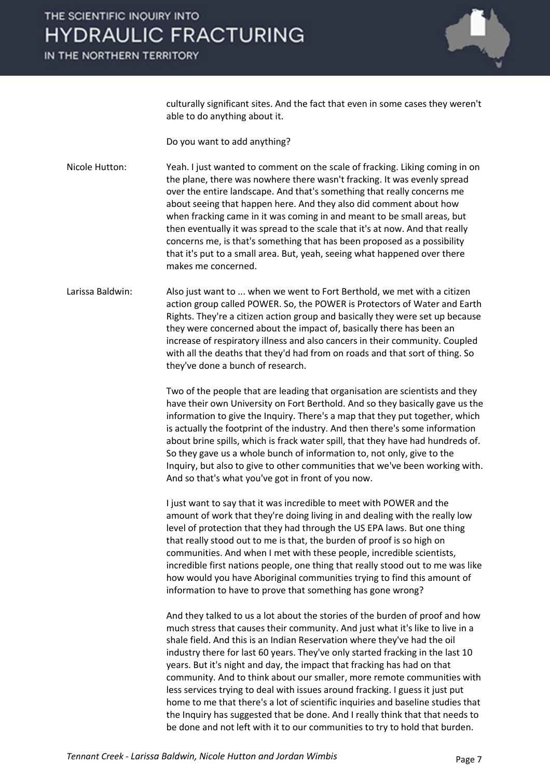

culturally significant sites. And the fact that even in some cases they weren't able to do anything about it.

Do you want to add anything?

Nicole Hutton: Yeah. I just wanted to comment on the scale of fracking. Liking coming in on the plane, there was nowhere there wasn't fracking. It was evenly spread over the entire landscape. And that's something that really concerns me about seeing that happen here. And they also did comment about how when fracking came in it was coming in and meant to be small areas, but then eventually it was spread to the scale that it's at now. And that really concerns me, is that's something that has been proposed as a possibility that it's put to a small area. But, yeah, seeing what happened over there makes me concerned.

Larissa Baldwin: Also just want to ... when we went to Fort Berthold, we met with a citizen action group called POWER. So, the POWER is Protectors of Water and Earth Rights. They're a citizen action group and basically they were set up because they were concerned about the impact of, basically there has been an increase of respiratory illness and also cancers in their community. Coupled with all the deaths that they'd had from on roads and that sort of thing. So they've done a bunch of research.

> Two of the people that are leading that organisation are scientists and they have their own University on Fort Berthold. And so they basically gave us the information to give the Inquiry. There's a map that they put together, which is actually the footprint of the industry. And then there's some information about brine spills, which is frack water spill, that they have had hundreds of. So they gave us a whole bunch of information to, not only, give to the Inquiry, but also to give to other communities that we've been working with. And so that's what you've got in front of you now.

> I just want to say that it was incredible to meet with POWER and the amount of work that they're doing living in and dealing with the really low level of protection that they had through the US EPA laws. But one thing that really stood out to me is that, the burden of proof is so high on communities. And when I met with these people, incredible scientists, incredible first nations people, one thing that really stood out to me was like how would you have Aboriginal communities trying to find this amount of information to have to prove that something has gone wrong?

> And they talked to us a lot about the stories of the burden of proof and how much stress that causes their community. And just what it's like to live in a shale field. And this is an Indian Reservation where they've had the oil industry there for last 60 years. They've only started fracking in the last 10 years. But it's night and day, the impact that fracking has had on that community. And to think about our smaller, more remote communities with less services trying to deal with issues around fracking. I guess it just put home to me that there's a lot of scientific inquiries and baseline studies that the Inquiry has suggested that be done. And I really think that that needs to be done and not left with it to our communities to try to hold that burden.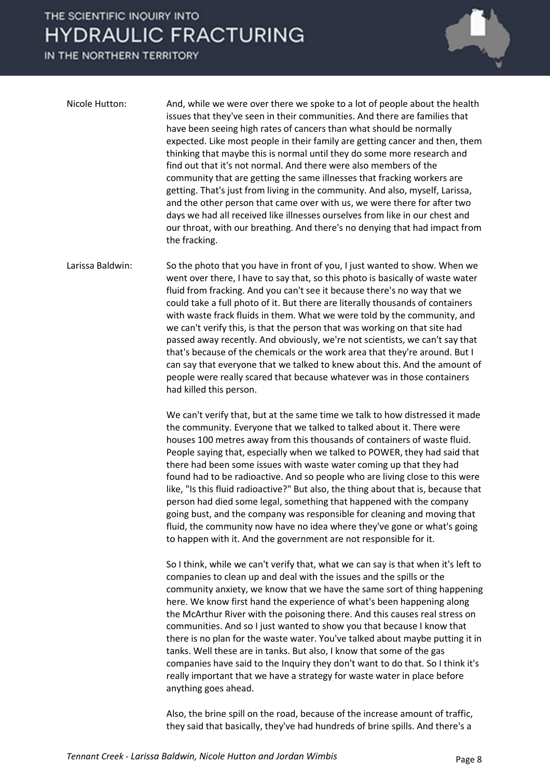IN THE NORTHERN TERRITORY



| Nicole Hutton: | And, while we were over there we spoke to a lot of people about the health<br>issues that they've seen in their communities. And there are families that<br>have been seeing high rates of cancers than what should be normally<br>expected. Like most people in their family are getting cancer and then, them<br>thinking that maybe this is normal until they do some more research and<br>find out that it's not normal. And there were also members of the<br>community that are getting the same illnesses that fracking workers are<br>getting. That's just from living in the community. And also, myself, Larissa,<br>and the other person that came over with us, we were there for after two<br>days we had all received like illnesses ourselves from like in our chest and |
|----------------|-----------------------------------------------------------------------------------------------------------------------------------------------------------------------------------------------------------------------------------------------------------------------------------------------------------------------------------------------------------------------------------------------------------------------------------------------------------------------------------------------------------------------------------------------------------------------------------------------------------------------------------------------------------------------------------------------------------------------------------------------------------------------------------------|
|                | our throat, with our breathing. And there's no denying that had impact from<br>the fracking.                                                                                                                                                                                                                                                                                                                                                                                                                                                                                                                                                                                                                                                                                            |

Larissa Baldwin: So the photo that you have in front of you, I just wanted to show. When we went over there, I have to say that, so this photo is basically of waste water fluid from fracking. And you can't see it because there's no way that we could take a full photo of it. But there are literally thousands of containers with waste frack fluids in them. What we were told by the community, and we can't verify this, is that the person that was working on that site had passed away recently. And obviously, we're not scientists, we can't say that that's because of the chemicals or the work area that they're around. But I can say that everyone that we talked to knew about this. And the amount of people were really scared that because whatever was in those containers had killed this person.

> We can't verify that, but at the same time we talk to how distressed it made the community. Everyone that we talked to talked about it. There were houses 100 metres away from this thousands of containers of waste fluid. People saying that, especially when we talked to POWER, they had said that there had been some issues with waste water coming up that they had found had to be radioactive. And so people who are living close to this were like, "Is this fluid radioactive?" But also, the thing about that is, because that person had died some legal, something that happened with the company going bust, and the company was responsible for cleaning and moving that fluid, the community now have no idea where they've gone or what's going to happen with it. And the government are not responsible for it.

> So I think, while we can't verify that, what we can say is that when it's left to companies to clean up and deal with the issues and the spills or the community anxiety, we know that we have the same sort of thing happening here. We know first hand the experience of what's been happening along the McArthur River with the poisoning there. And this causes real stress on communities. And so I just wanted to show you that because I know that there is no plan for the waste water. You've talked about maybe putting it in tanks. Well these are in tanks. But also, I know that some of the gas companies have said to the Inquiry they don't want to do that. So I think it's really important that we have a strategy for waste water in place before anything goes ahead.

Also, the brine spill on the road, because of the increase amount of traffic, they said that basically, they've had hundreds of brine spills. And there's a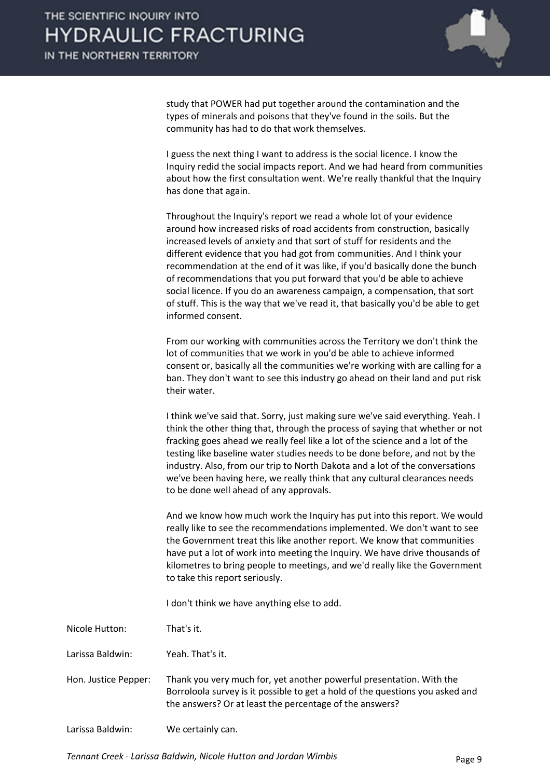

study that POWER had put together around the contamination and the types of minerals and poisons that they've found in the soils. But the community has had to do that work themselves.

I guess the next thing I want to address is the social licence. I know the Inquiry redid the social impacts report. And we had heard from communities about how the first consultation went. We're really thankful that the Inquiry has done that again.

Throughout the Inquiry's report we read a whole lot of your evidence around how increased risks of road accidents from construction, basically increased levels of anxiety and that sort of stuff for residents and the different evidence that you had got from communities. And I think your recommendation at the end of it was like, if you'd basically done the bunch of recommendations that you put forward that you'd be able to achieve social licence. If you do an awareness campaign, a compensation, that sort of stuff. This is the way that we've read it, that basically you'd be able to get informed consent.

From our working with communities across the Territory we don't think the lot of communities that we work in you'd be able to achieve informed consent or, basically all the communities we're working with are calling for a ban. They don't want to see this industry go ahead on their land and put risk their water.

I think we've said that. Sorry, just making sure we've said everything. Yeah. I think the other thing that, through the process of saying that whether or not fracking goes ahead we really feel like a lot of the science and a lot of the testing like baseline water studies needs to be done before, and not by the industry. Also, from our trip to North Dakota and a lot of the conversations we've been having here, we really think that any cultural clearances needs to be done well ahead of any approvals.

And we know how much work the Inquiry has put into this report. We would really like to see the recommendations implemented. We don't want to see the Government treat this like another report. We know that communities have put a lot of work into meeting the Inquiry. We have drive thousands of kilometres to bring people to meetings, and we'd really like the Government to take this report seriously.

I don't think we have anything else to add.

Nicole Hutton: That's it.

Larissa Baldwin: Yeah. That's it.

Hon. Justice Pepper: Thank you very much for, yet another powerful presentation. With the Borroloola survey is it possible to get a hold of the questions you asked and the answers? Or at least the percentage of the answers?

Larissa Baldwin: We certainly can.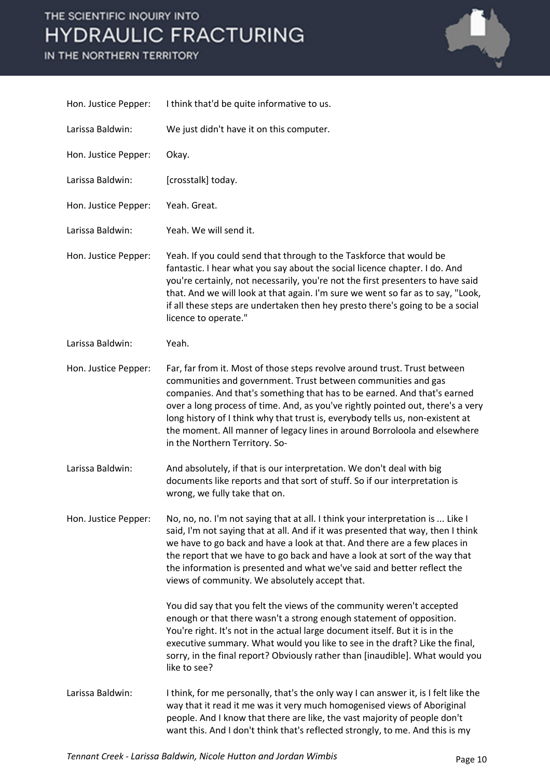

| Hon. Justice Pepper: | I think that'd be quite informative to us.                                                                                                                                                                                                                                                                                                                                                                                                                                                                 |
|----------------------|------------------------------------------------------------------------------------------------------------------------------------------------------------------------------------------------------------------------------------------------------------------------------------------------------------------------------------------------------------------------------------------------------------------------------------------------------------------------------------------------------------|
| Larissa Baldwin:     | We just didn't have it on this computer.                                                                                                                                                                                                                                                                                                                                                                                                                                                                   |
| Hon. Justice Pepper: | Okay.                                                                                                                                                                                                                                                                                                                                                                                                                                                                                                      |
| Larissa Baldwin:     | [crosstalk] today.                                                                                                                                                                                                                                                                                                                                                                                                                                                                                         |
| Hon. Justice Pepper: | Yeah. Great.                                                                                                                                                                                                                                                                                                                                                                                                                                                                                               |
| Larissa Baldwin:     | Yeah. We will send it.                                                                                                                                                                                                                                                                                                                                                                                                                                                                                     |
| Hon. Justice Pepper: | Yeah. If you could send that through to the Taskforce that would be<br>fantastic. I hear what you say about the social licence chapter. I do. And<br>you're certainly, not necessarily, you're not the first presenters to have said<br>that. And we will look at that again. I'm sure we went so far as to say, "Look,<br>if all these steps are undertaken then hey presto there's going to be a social<br>licence to operate."                                                                          |
| Larissa Baldwin:     | Yeah.                                                                                                                                                                                                                                                                                                                                                                                                                                                                                                      |
| Hon. Justice Pepper: | Far, far from it. Most of those steps revolve around trust. Trust between<br>communities and government. Trust between communities and gas<br>companies. And that's something that has to be earned. And that's earned<br>over a long process of time. And, as you've rightly pointed out, there's a very<br>long history of I think why that trust is, everybody tells us, non-existent at<br>the moment. All manner of legacy lines in around Borroloola and elsewhere<br>in the Northern Territory. So- |
| Larissa Baldwin:     | And absolutely, if that is our interpretation. We don't deal with big<br>documents like reports and that sort of stuff. So if our interpretation is<br>wrong, we fully take that on.                                                                                                                                                                                                                                                                                                                       |
| Hon. Justice Pepper: | No, no, no. I'm not saying that at all. I think your interpretation is  Like I<br>said, I'm not saying that at all. And if it was presented that way, then I think<br>we have to go back and have a look at that. And there are a few places in<br>the report that we have to go back and have a look at sort of the way that<br>the information is presented and what we've said and better reflect the<br>views of community. We absolutely accept that.                                                 |
|                      | You did say that you felt the views of the community weren't accepted<br>enough or that there wasn't a strong enough statement of opposition.<br>You're right. It's not in the actual large document itself. But it is in the<br>executive summary. What would you like to see in the draft? Like the final,<br>sorry, in the final report? Obviously rather than [inaudible]. What would you<br>like to see?                                                                                              |
| Larissa Baldwin:     | I think, for me personally, that's the only way I can answer it, is I felt like the<br>way that it read it me was it very much homogenised views of Aboriginal<br>people. And I know that there are like, the vast majority of people don't<br>want this. And I don't think that's reflected strongly, to me. And this is my                                                                                                                                                                               |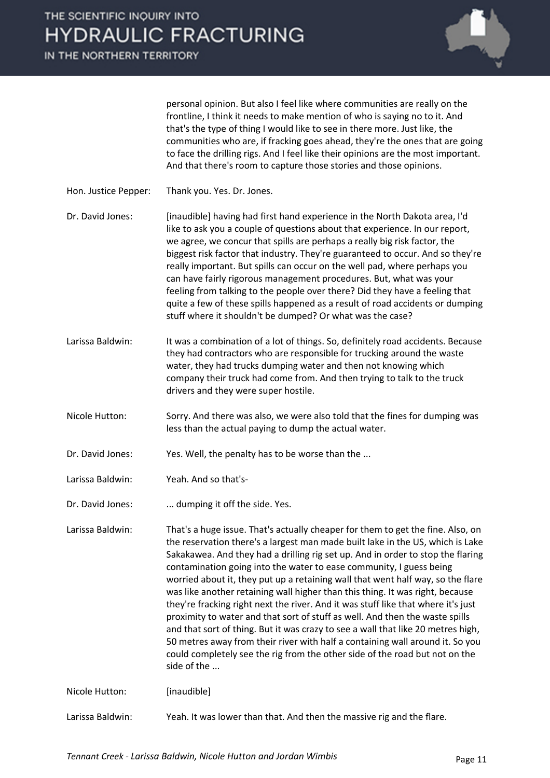

personal opinion. But also I feel like where communities are really on the frontline, I think it needs to make mention of who is saying no to it. And that's the type of thing I would like to see in there more. Just like, the communities who are, if fracking goes ahead, they're the ones that are going to face the drilling rigs. And I feel like their opinions are the most important. And that there's room to capture those stories and those opinions.

Hon. Justice Pepper: Thank you. Yes. Dr. Jones.

Dr. David Jones: [inaudible] having had first hand experience in the North Dakota area, I'd like to ask you a couple of questions about that experience. In our report, we agree, we concur that spills are perhaps a really big risk factor, the biggest risk factor that industry. They're guaranteed to occur. And so they're really important. But spills can occur on the well pad, where perhaps you can have fairly rigorous management procedures. But, what was your feeling from talking to the people over there? Did they have a feeling that quite a few of these spills happened as a result of road accidents or dumping stuff where it shouldn't be dumped? Or what was the case?

- Larissa Baldwin: It was a combination of a lot of things. So, definitely road accidents. Because they had contractors who are responsible for trucking around the waste water, they had trucks dumping water and then not knowing which company their truck had come from. And then trying to talk to the truck drivers and they were super hostile.
- Nicole Hutton: Sorry. And there was also, we were also told that the fines for dumping was less than the actual paying to dump the actual water.
- Dr. David Jones: Yes. Well, the penalty has to be worse than the ...
- Larissa Baldwin: Yeah. And so that's-
- Dr. David Jones: ... dumping it off the side. Yes.

Larissa Baldwin: That's a huge issue. That's actually cheaper for them to get the fine. Also, on the reservation there's a largest man made built lake in the US, which is Lake Sakakawea. And they had a drilling rig set up. And in order to stop the flaring contamination going into the water to ease community, I guess being worried about it, they put up a retaining wall that went half way, so the flare was like another retaining wall higher than this thing. It was right, because they're fracking right next the river. And it was stuff like that where it's just proximity to water and that sort of stuff as well. And then the waste spills and that sort of thing. But it was crazy to see a wall that like 20 metres high, 50 metres away from their river with half a containing wall around it. So you could completely see the rig from the other side of the road but not on the side of the ...

Nicole Hutton: [inaudible]

Larissa Baldwin: Yeah. It was lower than that. And then the massive rig and the flare.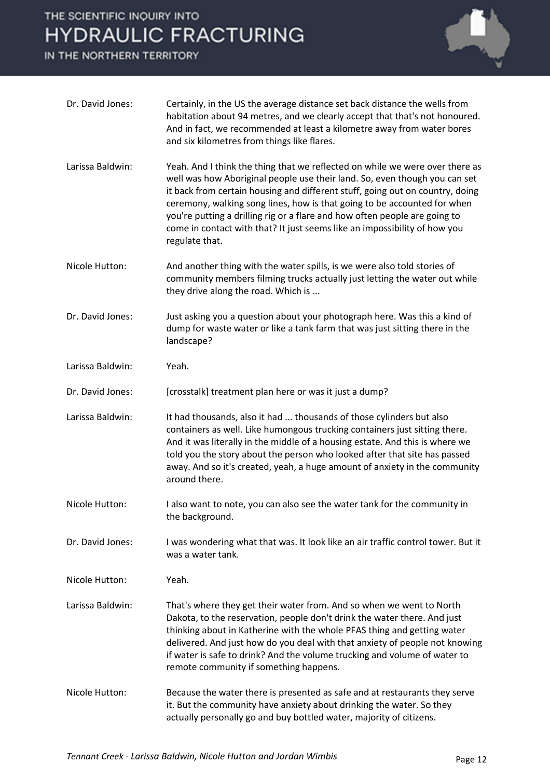

| Dr. David Jones: | Certainly, in the US the average distance set back distance the wells from<br>habitation about 94 metres, and we clearly accept that that's not honoured.<br>And in fact, we recommended at least a kilometre away from water bores<br>and six kilometres from things like flares.                                                                                                                                                                                                                   |
|------------------|------------------------------------------------------------------------------------------------------------------------------------------------------------------------------------------------------------------------------------------------------------------------------------------------------------------------------------------------------------------------------------------------------------------------------------------------------------------------------------------------------|
| Larissa Baldwin: | Yeah. And I think the thing that we reflected on while we were over there as<br>well was how Aboriginal people use their land. So, even though you can set<br>it back from certain housing and different stuff, going out on country, doing<br>ceremony, walking song lines, how is that going to be accounted for when<br>you're putting a drilling rig or a flare and how often people are going to<br>come in contact with that? It just seems like an impossibility of how you<br>regulate that. |
| Nicole Hutton:   | And another thing with the water spills, is we were also told stories of<br>community members filming trucks actually just letting the water out while<br>they drive along the road. Which is                                                                                                                                                                                                                                                                                                        |
| Dr. David Jones: | Just asking you a question about your photograph here. Was this a kind of<br>dump for waste water or like a tank farm that was just sitting there in the<br>landscape?                                                                                                                                                                                                                                                                                                                               |
| Larissa Baldwin: | Yeah.                                                                                                                                                                                                                                                                                                                                                                                                                                                                                                |
| Dr. David Jones: | [crosstalk] treatment plan here or was it just a dump?                                                                                                                                                                                                                                                                                                                                                                                                                                               |
| Larissa Baldwin: | It had thousands, also it had  thousands of those cylinders but also<br>containers as well. Like humongous trucking containers just sitting there.<br>And it was literally in the middle of a housing estate. And this is where we<br>told you the story about the person who looked after that site has passed<br>away. And so it's created, yeah, a huge amount of anxiety in the community<br>around there.                                                                                       |
| Nicole Hutton:   | I also want to note, you can also see the water tank for the community in<br>the background.                                                                                                                                                                                                                                                                                                                                                                                                         |
| Dr. David Jones: | I was wondering what that was. It look like an air traffic control tower. But it<br>was a water tank.                                                                                                                                                                                                                                                                                                                                                                                                |
| Nicole Hutton:   | Yeah.                                                                                                                                                                                                                                                                                                                                                                                                                                                                                                |
| Larissa Baldwin: | That's where they get their water from. And so when we went to North<br>Dakota, to the reservation, people don't drink the water there. And just<br>thinking about in Katherine with the whole PFAS thing and getting water<br>delivered. And just how do you deal with that anxiety of people not knowing<br>if water is safe to drink? And the volume trucking and volume of water to<br>remote community if something happens.                                                                    |
| Nicole Hutton:   | Because the water there is presented as safe and at restaurants they serve<br>it. But the community have anxiety about drinking the water. So they<br>actually personally go and buy bottled water, majority of citizens.                                                                                                                                                                                                                                                                            |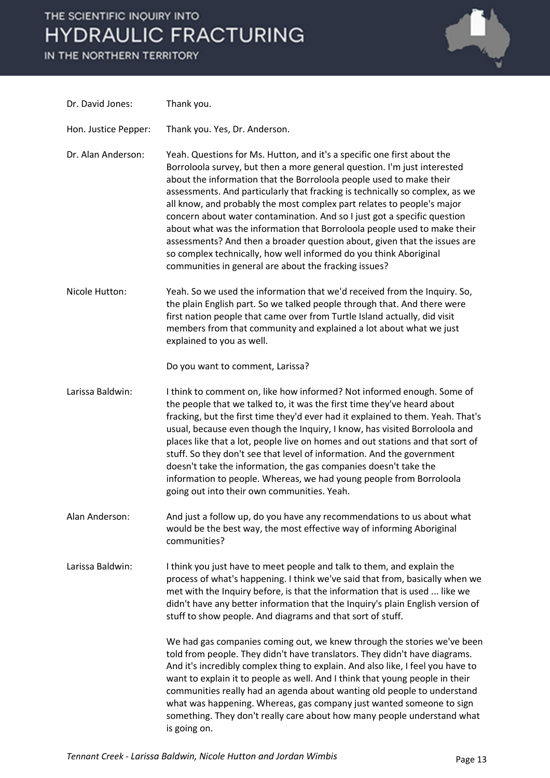

| Dr. David Jones:     | Thank you.                                                                                                                                                                                                                                                                                                                                                                                                                                                                                                                                                                                                                                                                                                                                              |
|----------------------|---------------------------------------------------------------------------------------------------------------------------------------------------------------------------------------------------------------------------------------------------------------------------------------------------------------------------------------------------------------------------------------------------------------------------------------------------------------------------------------------------------------------------------------------------------------------------------------------------------------------------------------------------------------------------------------------------------------------------------------------------------|
| Hon. Justice Pepper: | Thank you. Yes, Dr. Anderson.                                                                                                                                                                                                                                                                                                                                                                                                                                                                                                                                                                                                                                                                                                                           |
| Dr. Alan Anderson:   | Yeah. Questions for Ms. Hutton, and it's a specific one first about the<br>Borroloola survey, but then a more general question. I'm just interested<br>about the information that the Borroloola people used to make their<br>assessments. And particularly that fracking is technically so complex, as we<br>all know, and probably the most complex part relates to people's major<br>concern about water contamination. And so I just got a specific question<br>about what was the information that Borroloola people used to make their<br>assessments? And then a broader question about, given that the issues are<br>so complex technically, how well informed do you think Aboriginal<br>communities in general are about the fracking issues? |
| Nicole Hutton:       | Yeah. So we used the information that we'd received from the Inquiry. So,<br>the plain English part. So we talked people through that. And there were<br>first nation people that came over from Turtle Island actually, did visit<br>members from that community and explained a lot about what we just<br>explained to you as well.                                                                                                                                                                                                                                                                                                                                                                                                                   |
|                      | Do you want to comment, Larissa?                                                                                                                                                                                                                                                                                                                                                                                                                                                                                                                                                                                                                                                                                                                        |
| Larissa Baldwin:     | I think to comment on, like how informed? Not informed enough. Some of<br>the people that we talked to, it was the first time they've heard about<br>fracking, but the first time they'd ever had it explained to them. Yeah. That's<br>usual, because even though the Inquiry, I know, has visited Borroloola and<br>places like that a lot, people live on homes and out stations and that sort of<br>stuff. So they don't see that level of information. And the government<br>doesn't take the information, the gas companies doesn't take the<br>information to people. Whereas, we had young people from Borroloola<br>going out into their own communities. Yeah.                                                                                |
| Alan Anderson:       | And just a follow up, do you have any recommendations to us about what<br>would be the best way, the most effective way of informing Aboriginal<br>communities?                                                                                                                                                                                                                                                                                                                                                                                                                                                                                                                                                                                         |
| Larissa Baldwin:     | I think you just have to meet people and talk to them, and explain the<br>process of what's happening. I think we've said that from, basically when we<br>met with the Inquiry before, is that the information that is used  like we<br>didn't have any better information that the Inquiry's plain English version of<br>stuff to show people. And diagrams and that sort of stuff.                                                                                                                                                                                                                                                                                                                                                                    |
|                      | We had gas companies coming out, we knew through the stories we've been<br>told from people. They didn't have translators. They didn't have diagrams.<br>And it's incredibly complex thing to explain. And also like, I feel you have to<br>want to explain it to people as well. And I think that young people in their<br>communities really had an agenda about wanting old people to understand<br>what was happening. Whereas, gas company just wanted someone to sign<br>something. They don't really care about how many people understand what<br>is going on.                                                                                                                                                                                  |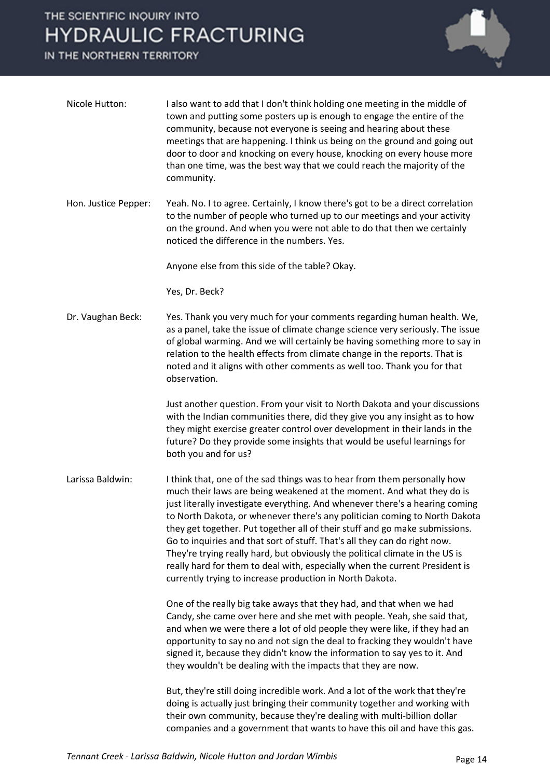

| Nicole Hutton:       | I also want to add that I don't think holding one meeting in the middle of<br>town and putting some posters up is enough to engage the entire of the<br>community, because not everyone is seeing and hearing about these<br>meetings that are happening. I think us being on the ground and going out<br>door to door and knocking on every house, knocking on every house more<br>than one time, was the best way that we could reach the majority of the<br>community.                                                                                                                                                                                                                              |
|----------------------|--------------------------------------------------------------------------------------------------------------------------------------------------------------------------------------------------------------------------------------------------------------------------------------------------------------------------------------------------------------------------------------------------------------------------------------------------------------------------------------------------------------------------------------------------------------------------------------------------------------------------------------------------------------------------------------------------------|
| Hon. Justice Pepper: | Yeah. No. I to agree. Certainly, I know there's got to be a direct correlation<br>to the number of people who turned up to our meetings and your activity<br>on the ground. And when you were not able to do that then we certainly<br>noticed the difference in the numbers. Yes.                                                                                                                                                                                                                                                                                                                                                                                                                     |
|                      | Anyone else from this side of the table? Okay.                                                                                                                                                                                                                                                                                                                                                                                                                                                                                                                                                                                                                                                         |
|                      | Yes, Dr. Beck?                                                                                                                                                                                                                                                                                                                                                                                                                                                                                                                                                                                                                                                                                         |
| Dr. Vaughan Beck:    | Yes. Thank you very much for your comments regarding human health. We,<br>as a panel, take the issue of climate change science very seriously. The issue<br>of global warming. And we will certainly be having something more to say in<br>relation to the health effects from climate change in the reports. That is<br>noted and it aligns with other comments as well too. Thank you for that<br>observation.                                                                                                                                                                                                                                                                                       |
|                      | Just another question. From your visit to North Dakota and your discussions<br>with the Indian communities there, did they give you any insight as to how<br>they might exercise greater control over development in their lands in the<br>future? Do they provide some insights that would be useful learnings for<br>both you and for us?                                                                                                                                                                                                                                                                                                                                                            |
| Larissa Baldwin:     | I think that, one of the sad things was to hear from them personally how<br>much their laws are being weakened at the moment. And what they do is<br>just literally investigate everything. And whenever there's a hearing coming<br>to North Dakota, or whenever there's any politician coming to North Dakota<br>they get together. Put together all of their stuff and go make submissions.<br>Go to inquiries and that sort of stuff. That's all they can do right now.<br>They're trying really hard, but obviously the political climate in the US is<br>really hard for them to deal with, especially when the current President is<br>currently trying to increase production in North Dakota. |
|                      | One of the really big take aways that they had, and that when we had<br>Candy, she came over here and she met with people. Yeah, she said that,<br>and when we were there a lot of old people they were like, if they had an<br>opportunity to say no and not sign the deal to fracking they wouldn't have<br>signed it, because they didn't know the information to say yes to it. And<br>they wouldn't be dealing with the impacts that they are now.                                                                                                                                                                                                                                                |
|                      | But, they're still doing incredible work. And a lot of the work that they're<br>doing is actually just bringing their community together and working with<br>their own community, because they're dealing with multi-billion dollar<br>companies and a government that wants to have this oil and have this gas.                                                                                                                                                                                                                                                                                                                                                                                       |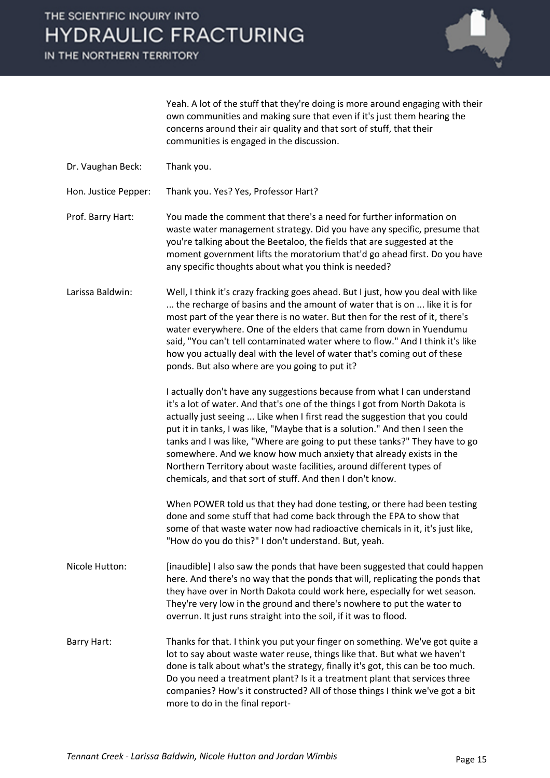

Yeah. A lot of the stuff that they're doing is more around engaging with their own communities and making sure that even if it's just them hearing the concerns around their air quality and that sort of stuff, that their communities is engaged in the discussion.

- Dr. Vaughan Beck: Thank you.
- Hon. Justice Pepper: Thank you. Yes? Yes, Professor Hart?

Prof. Barry Hart: You made the comment that there's a need for further information on waste water management strategy. Did you have any specific, presume that you're talking about the Beetaloo, the fields that are suggested at the moment government lifts the moratorium that'd go ahead first. Do you have any specific thoughts about what you think is needed?

Larissa Baldwin: Well, I think it's crazy fracking goes ahead. But I just, how you deal with like ... the recharge of basins and the amount of water that is on ... like it is for most part of the year there is no water. But then for the rest of it, there's water everywhere. One of the elders that came from down in Yuendumu said, "You can't tell contaminated water where to flow." And I think it's like how you actually deal with the level of water that's coming out of these ponds. But also where are you going to put it?

> I actually don't have any suggestions because from what I can understand it's a lot of water. And that's one of the things I got from North Dakota is actually just seeing ... Like when I first read the suggestion that you could put it in tanks, I was like, "Maybe that is a solution." And then I seen the tanks and I was like, "Where are going to put these tanks?" They have to go somewhere. And we know how much anxiety that already exists in the Northern Territory about waste facilities, around different types of chemicals, and that sort of stuff. And then I don't know.

> When POWER told us that they had done testing, or there had been testing done and some stuff that had come back through the EPA to show that some of that waste water now had radioactive chemicals in it, it's just like, "How do you do this?" I don't understand. But, yeah.

- Nicole Hutton: [inaudible] I also saw the ponds that have been suggested that could happen here. And there's no way that the ponds that will, replicating the ponds that they have over in North Dakota could work here, especially for wet season. They're very low in the ground and there's nowhere to put the water to overrun. It just runs straight into the soil, if it was to flood.
- Barry Hart: Thanks for that. I think you put your finger on something. We've got quite a lot to say about waste water reuse, things like that. But what we haven't done is talk about what's the strategy, finally it's got, this can be too much. Do you need a treatment plant? Is it a treatment plant that services three companies? How's it constructed? All of those things I think we've got a bit more to do in the final report-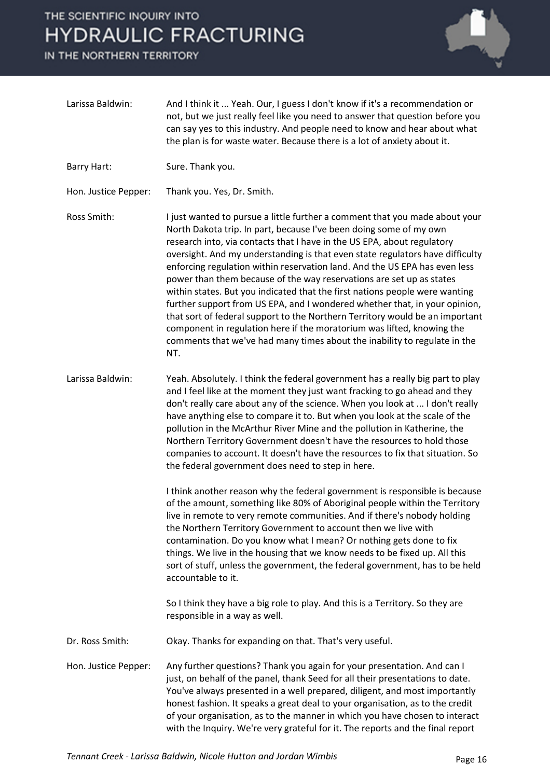

| Larissa Baldwin:     | And I think it  Yeah. Our, I guess I don't know if it's a recommendation or<br>not, but we just really feel like you need to answer that question before you<br>can say yes to this industry. And people need to know and hear about what<br>the plan is for waste water. Because there is a lot of anxiety about it.                                                                                                                                                                                                                                                                                                                                                                                                                                                                                                                                                          |
|----------------------|--------------------------------------------------------------------------------------------------------------------------------------------------------------------------------------------------------------------------------------------------------------------------------------------------------------------------------------------------------------------------------------------------------------------------------------------------------------------------------------------------------------------------------------------------------------------------------------------------------------------------------------------------------------------------------------------------------------------------------------------------------------------------------------------------------------------------------------------------------------------------------|
| Barry Hart:          | Sure. Thank you.                                                                                                                                                                                                                                                                                                                                                                                                                                                                                                                                                                                                                                                                                                                                                                                                                                                               |
| Hon. Justice Pepper: | Thank you. Yes, Dr. Smith.                                                                                                                                                                                                                                                                                                                                                                                                                                                                                                                                                                                                                                                                                                                                                                                                                                                     |
| Ross Smith:          | I just wanted to pursue a little further a comment that you made about your<br>North Dakota trip. In part, because I've been doing some of my own<br>research into, via contacts that I have in the US EPA, about regulatory<br>oversight. And my understanding is that even state regulators have difficulty<br>enforcing regulation within reservation land. And the US EPA has even less<br>power than them because of the way reservations are set up as states<br>within states. But you indicated that the first nations people were wanting<br>further support from US EPA, and I wondered whether that, in your opinion,<br>that sort of federal support to the Northern Territory would be an important<br>component in regulation here if the moratorium was lifted, knowing the<br>comments that we've had many times about the inability to regulate in the<br>NT. |
| Larissa Baldwin:     | Yeah. Absolutely. I think the federal government has a really big part to play<br>and I feel like at the moment they just want fracking to go ahead and they<br>don't really care about any of the science. When you look at  I don't really<br>have anything else to compare it to. But when you look at the scale of the<br>pollution in the McArthur River Mine and the pollution in Katherine, the<br>Northern Territory Government doesn't have the resources to hold those<br>companies to account. It doesn't have the resources to fix that situation. So<br>the federal government does need to step in here.                                                                                                                                                                                                                                                         |
|                      | I think another reason why the federal government is responsible is because<br>of the amount, something like 80% of Aboriginal people within the Territory<br>live in remote to very remote communities. And if there's nobody holding<br>the Northern Territory Government to account then we live with<br>contamination. Do you know what I mean? Or nothing gets done to fix<br>things. We live in the housing that we know needs to be fixed up. All this<br>sort of stuff, unless the government, the federal government, has to be held<br>accountable to it.                                                                                                                                                                                                                                                                                                            |
|                      | So I think they have a big role to play. And this is a Territory. So they are<br>responsible in a way as well.                                                                                                                                                                                                                                                                                                                                                                                                                                                                                                                                                                                                                                                                                                                                                                 |
| Dr. Ross Smith:      | Okay. Thanks for expanding on that. That's very useful.                                                                                                                                                                                                                                                                                                                                                                                                                                                                                                                                                                                                                                                                                                                                                                                                                        |
| Hon. Justice Pepper: | Any further questions? Thank you again for your presentation. And can I<br>just, on behalf of the panel, thank Seed for all their presentations to date.<br>You've always presented in a well prepared, diligent, and most importantly<br>honest fashion. It speaks a great deal to your organisation, as to the credit<br>of your organisation, as to the manner in which you have chosen to interact<br>with the Inquiry. We're very grateful for it. The reports and the final report                                                                                                                                                                                                                                                                                                                                                                                       |